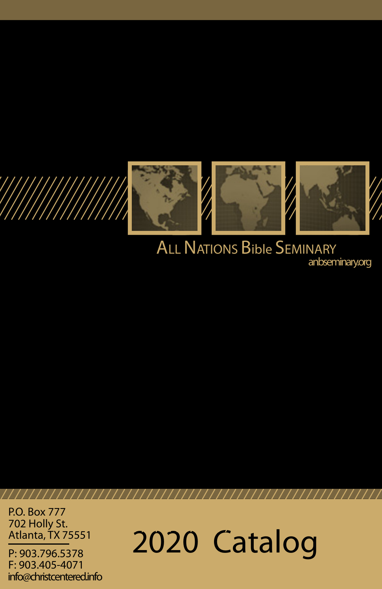

# **ALL NATIONS Bible SEMINARY** anbseminary.org

P.O. Box 777 702 Holly St. Atlanta, TX 75551

P: 903.796.5378 F: 903.405-4071 info@christcentered.info 2020 Catalog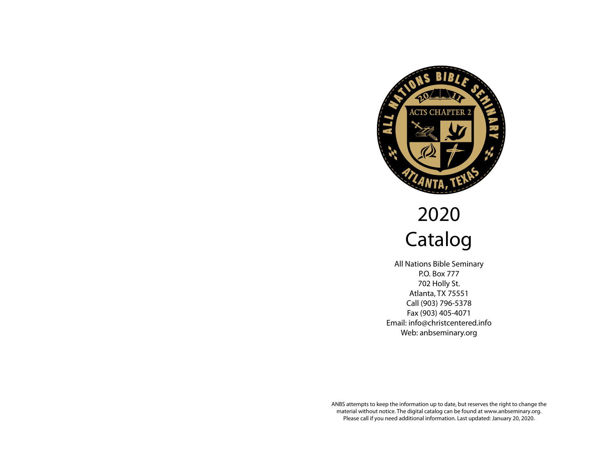

# 2020 Catalog

All Nations Bible Seminary P.O. Box 777 702 Holly St. Atlanta, TX 75551 Call (903) 796-5378 Fax (903) 405-4071 Email: info@christcentered.info Web: anbseminary.org

ANBS attempts to keep the information up to date, but reserves the right to change the material without notice. The digital catalog can be found at www.anbseminary.org. Please call if you need additional information. Last updated: January 20, 2020.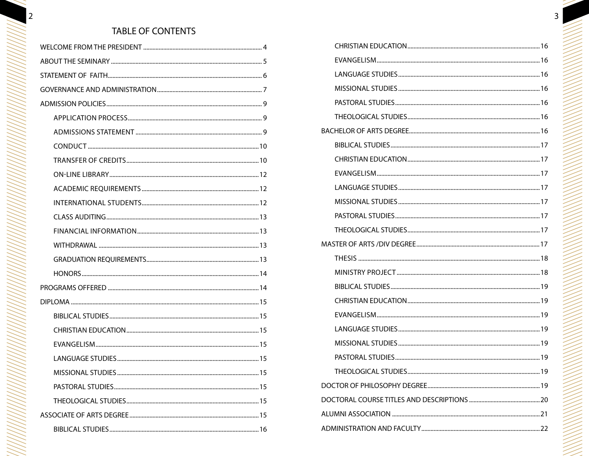# TABLE OF CONTENTS

 $\overline{2}$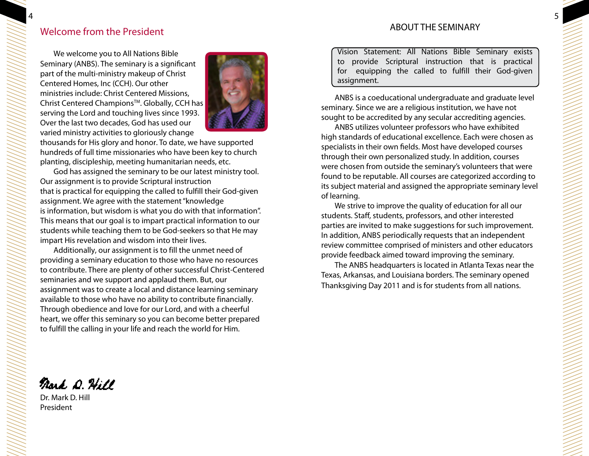# Welcome from the President

We welcome you to All Nations Bible Seminary (ANBS). The seminary is a significant part of the multi-ministry makeup of Christ Centered Homes, Inc (CCH). Our other ministries include: Christ Centered Missions, Christ Centered Champions<sup>™</sup>. Globally, CCH has serving the Lord and touching lives since 1993. Over the last two decades, God has used our varied ministry activities to gloriously change



thousands for His glory and honor. To date, we have supported hundreds of full time missionaries who have been key to church planting, discipleship, meeting humanitarian needs, etc.

God has assigned the seminary to be our latest ministry tool. Our assignment is to provide Scriptural instruction that is practical for equipping the called to fulfill their God-given assignment. We agree with the statement "knowledge is information, but wisdom is what you do with that information". This means that our goal is to impart practical information to our students while teaching them to be God-seekers so that He may impart His revelation and wisdom into their lives.

Additionally, our assignment is to fill the unmet need of providing a seminary education to those who have no resources to contribute. There are plenty of other successful Christ-Centered seminaries and we support and applaud them. But, our assignment was to create a local and distance learning seminary available to those who have no ability to contribute financially. Through obedience and love for our Lord, and with a cheerful heart, we offer this seminary so you can become better prepared to fulfill the calling in your life and reach the world for Him.

Vision Statement: All Nations Bible Seminary exists to provide Scriptural instruction that is practical for equipping the called to fulfill their God-given assignment.

ANBS is a coeducational undergraduate and graduate level seminary. Since we are a religious institution, we have not sought to be accredited by any secular accrediting agencies.

ANBS utilizes volunteer professors who have exhibited high standards of educational excellence. Each were chosen as specialists in their own fields. Most have developed courses through their own personalized study. In addition, courses were chosen from outside the seminary's volunteers that were found to be reputable. All courses are categorized according to its subject material and assigned the appropriate seminary level of learning.

We strive to improve the quality of education for all our students. Staff, students, professors, and other interested parties are invited to make suggestions for such improvement. In addition, ANBS periodically requests that an independent review committee comprised of ministers and other educators provide feedback aimed toward improving the seminary.

The ANBS headquarters is located in Atlanta Texas near the Texas, Arkansas, and Louisiana borders. The seminary opened Thanksgiving Day 2011 and is for students from all nations.

Nard D. Hill

Dr. Mark D. Hill President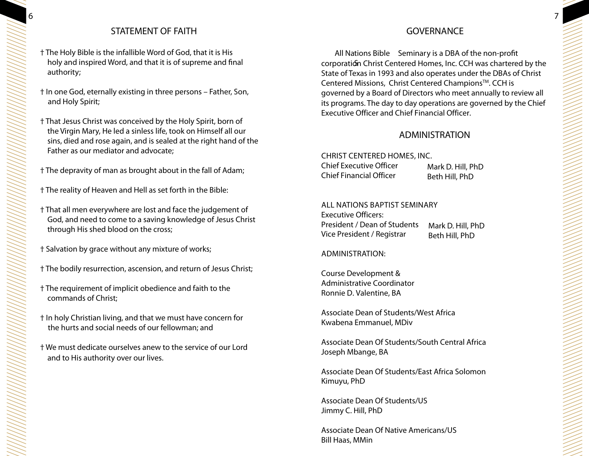# STATEMENT OF FAITH

- † The Holy Bible is the infallible Word of God, that it is His holy and inspired Word, and that it is of supreme and final authority;
- † In one God, eternally existing in three persons Father, Son, and Holy Spirit;
- † That Jesus Christ was conceived by the Holy Spirit, born of the Virgin Mary, He led a sinless life, took on Himself all our sins, died and rose again, and is sealed at the right hand of the Father as our mediator and advocate;
- † The depravity of man as brought about in the fall of Adam;
- † The reality of Heaven and Hell as set forth in the Bible:
- † That all men everywhere are lost and face the judgement of God, and need to come to a saving knowledge of Jesus Christ through His shed blood on the cross;
- † Salvation by grace without any mixture of works;
- † The bodily resurrection, ascension, and return of Jesus Christ;
- † The requirement of implicit obedience and faith to the commands of Christ;
- † In holy Christian living, and that we must have concern for the hurts and social needs of our fellowman; and
- † We must dedicate ourselves anew to the service of our Lord and to His authority over our lives.

# GOVERNANCE

All Nations Bible Seminary is a DBA of the non-profit corporation Christ Centered Homes, Inc. CCH was chartered by the State of Texas in 1993 and also operates under the DBAs of Christ Centered Missions, Christ Centered Champions™. CCH is governed by a Board of Directors who meet annually to review all its programs. The day to day operations are governed by the Chief Executive Officer and Chief Financial Officer.

# **ADMINISTRATION**

CHRIST CENTERED HOMES, INC. **Chief Executive Officer** Mark D. Hill, PhD **Chief Financial Officer** Beth Hill, PhD

## All Nations Baptist Seminary

President / Dean of Students Mark D. Hill, PhD Beth Hill, PhD Executive Officers: Vice President / Registrar

## ADMINISTRATION:

Course Development & Administrative Coordinator Ronnie D. Valentine, BA

Associate Dean of Students/West Africa Kwabena Emmanuel, MDiv

Associate Dean Of Students/South Central Africa Joseph Mbange, BA

Associate Dean Of Students/East Africa Solomon Kimuyu, PhD

Associate Dean Of Students/US Jimmy C. Hill, PhD

Associate Dean Of Native Americans/US Bill Haas, MMin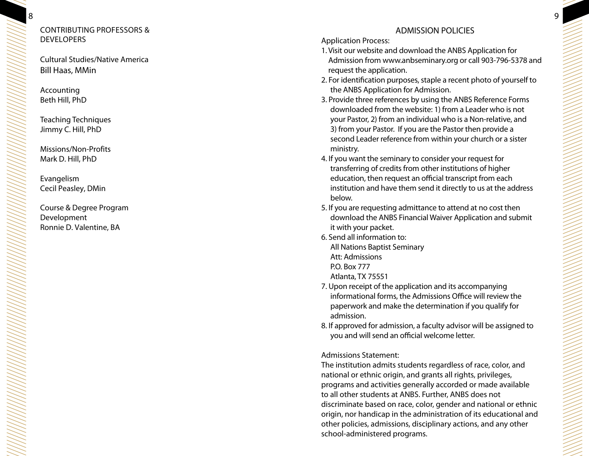## CONT RIBUTIN G PROFESSORS & **DEVELOPERS**

Cultural Studies/Native America Bill Haas, MMin

Accounting Beth Hill, PhD

8

Teaching Techniques Jimmy C. Hill, PhD

Missions/Non-Profits Mark D. Hill, PhD

Evangelism Cecil Peasley, DMin

Course & Degree Program Development Ronnie D. Valentine, BA

# ADMISSION POLICIES

## Application Process:

- 1. Visit our website and download the ANBS Application for Admission from www.anbseminary.org or call 903-796-5378 and request the application.
- 2. For identification purposes, staple a recent photo of yourself to the ANBS Application for Admission.
- 3. Provide three references by using the ANBS Reference Forms downloaded from the website: 1) from a Leader who is not your Pastor, 2) from an individual who is a Non-relative, and 3) from your Pastor. If you are the Pastor then provide a second Leader reference from within your church or a sister ministry.
- 4. If you want the seminary to consider your request for transferring of credits from other institutions of higher education, then request an official transcript from each institution and have them send it directly to us at the address below.
- 5. If you are requesting admittance to attend at no cost then download the ANBS Financial Waiver Application and submit it with your packet.
- 6. Send all information to: All Nations Baptist Seminary Att: Admissions P.O. Box 777

Atlanta, TX 75551

- 7. Upon receipt of the application and its accompanying informational forms, the Admissions Office will review the paperwork and make the determination if you qualify for admission.
- 8. If approved for admission, a faculty advisor will be assigned to you and will send an official welcome letter.

Admissions Statement:

The institution admits students regardless of race, color, and national or ethnic origin, and grants all rights, privileges, programs and activities generally accorded or made available to all other students at ANBS. Further, ANBS does not discriminate based on race, color, gender and national or ethnic origin, nor handicap in the administration of its educational and other policies, admissions, disciplinary actions, and any other school-administered programs.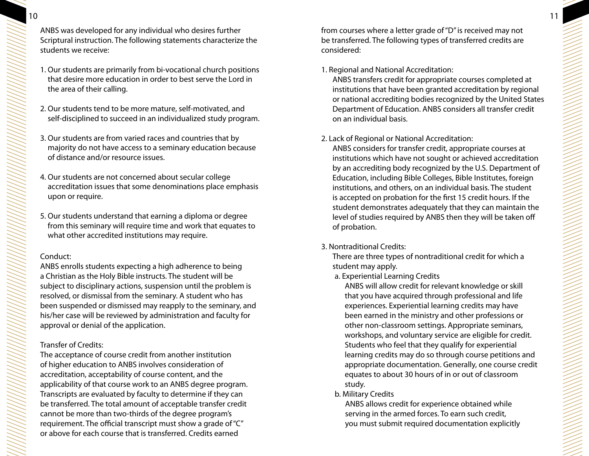ANBS was developed for any individual who desires further Scriptural instruction. The following statements characterize the students we receive:

- 1. Our students are primarily from bi-vocational church positions that desire more education in order to best serve the Lord in the area of their calling.
- 2. Our students tend to be more mature, self-motivated, and self-disciplined to succeed in an individualized study program.
- 3. Our students are from varied races and countries that by majority do not have access to a seminary education because of distance and/or resource issues.
- 4. Our students are not concerned about secular college accreditation issues that some denominations place emphasis upon or require.
- 5. Our students understand that earning a diploma or degree from this seminary will require time and work that equates to what other accredited institutions may require.

#### Conduct:

ANBS enrolls students expecting a high adherence to being a Christian as the Holy Bible instructs. The student will be subject to disciplinary actions, suspension until the problem is resolved, or dismissal from the seminary. A student who has been suspended or dismissed may reapply to the seminary, and his/her case will be reviewed by administration and faculty for approval or denial of the application.

## Transfer of Credits:

The acceptance of course credit from another institution of higher education to ANBS involves consideration of accreditation, acceptability of course content, and the applicability of that course work to an ANBS degree program. Transcripts are evaluated by faculty to determine if they can be transferred. The total amount of acceptable transfer credit cannot be more than two-thirds of the degree program's requirement. The official transcript must show a grade of "C" or above for each course that is transferred. Credits earned

from courses where a letter grade of "D" is received may not be transferred. The following types of transferred credits are considered:

#### 1. Regional and National Accreditation:

ANBS transfers credit for appropriate courses completed at institutions that have been granted accreditation by regional or national accrediting bodies recognized by the United States Department of Education. ANBS considers all transfer credit on an individual basis.

## 2. Lack of Regional or National Accreditation:

ANBS considers for transfer credit, appropriate courses at institutions which have not sought or achieved accreditation by an accrediting body recognized by the U.S. Department of Education, including Bible Colleges, Bible Institutes, foreign institutions, and others, on an individual basis. The student is accepted on probation for the first 15 credit hours. If the student demonstrates adequately that they can maintain the level of studies required by ANBS then they will be taken off of probation.

#### 3. Nontraditional Credits:

There are three types of nontraditional credit for which a student may apply.

a. Experiential Learning Credits

ANBS will allow credit for relevant knowledge or skill that you have acquired through professional and life experiences. Experiential learning credits may have been earned in the ministry and other professions or other non-classroom settings. Appropriate seminars, workshops, and voluntary service are eligible for credit. Students who feel that they qualify for experiential learning credits may do so through course petitions and appropriate documentation. Generally, one course credit equates to about 30 hours of in or out of classroom study.

#### b. Military Credits

ANBS allows credit for experience obtained while serving in the armed forces. To earn such credit, you must submit required documentation explicitly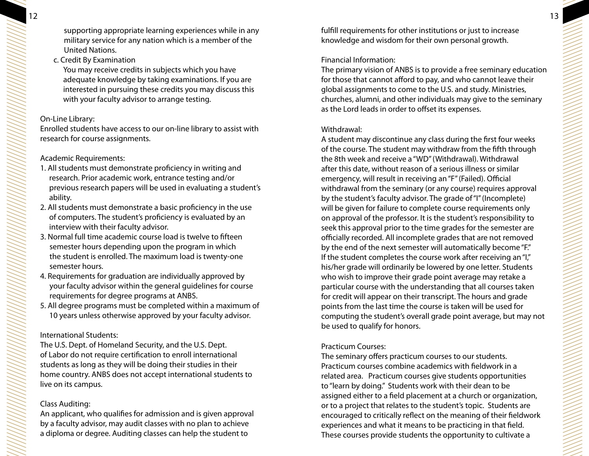supporting appropriate learning experiences while in any military service for any nation which is a member of the United Nations.

c. Credit By Examination

You may receive credits in subjects which you have adequate knowledge by taking examinations. If you are interested in pursuing these credits you may discuss this with your faculty advisor to arrange testing.

## On-Line Library:

Enrolled students have access to our on-line library to assist with research for course assignments.

## Academic Requirements:

- 1. All students must demonstrate proficiency in writing and research. Prior academic work, entrance testing and/or previous research papers will be used in evaluating a student's ability.
- 2. All students must demonstrate a basic proficiency in the use of computers. The student's proficiency is evaluated by an interview with their faculty advisor.
- 3. Normal full time academic course load is twelve to fifteen semester hours depending upon the program in which the student is enrolled. The maximum load is twenty-one semester hours.
- 4. Requirements for graduation are individually approved by your faculty advisor within the general guidelines for course requirements for degree programs at ANBS.
- 5. All degree programs must be completed within a maximum of 10 years unless otherwise approved by your faculty advisor.

## International Students:

The U.S. Dept. of Homeland Security, and the U.S. Dept. of Labor do not require certification to enroll international students as long as they will be doing their studies in their home country. ANBS does not accept international students to live on its campus.

## Class Auditing:

An applicant, who qualifies for admission and is given approval by a faculty advisor, may audit classes with no plan to achieve a diploma or degree. Auditing classes can help the student to

fulfill requirements for other institutions or just to increase knowledge and wisdom for their own personal growth.

# Financial Information:

The primary vision of ANBS is to provide a free seminary education for those that cannot afford to pay, and who cannot leave their global assignments to come to the U.S. and study. Ministries, churches, alumni, and other individuals may give to the seminary as the Lord leads in order to offset its expenses.

## Withdrawal:

A student may discontinue any class during the first four weeks of the course. The student may withdraw from the fifth through the 8th week and receive a "WD" (Withdrawal). Withdrawal after this date, without reason of a serious illness or similar emergency, will result in receiving an "F" (Failed). Official withdrawal from the seminary (or any course) requires approval by the student's faculty advisor. The grade of "I" (Incomplete) will be given for failure to complete course requirements only on approval of the professor. It is the student's responsibility to seek this approval prior to the time grades for the semester are officially recorded. All incomplete grades that are not removed by the end of the next semester will automatically become "F." If the student completes the course work after receiving an "I," his/her grade will ordinarily be lowered by one letter. Students who wish to improve their grade point average may retake a particular course with the understanding that all courses taken for credit will appear on their transcript. The hours and grade points from the last time the course is taken will be used for computing the student's overall grade point average, but may not be used to qualify for honors.

## Practicum Courses:

The seminary offers practicum courses to our students. Practicum courses combine academics with fieldwork in a related area. Practicum courses give students opportunities to "learn by doing." Students work with their dean to be assigned either to a field placement at a church or organization, or to a project that relates to the student's topic. Students are encouraged to critically reflect on the meaning of their fieldwork experiences and what it means to be practicing in that field. These courses provide students the opportunity to cultivate a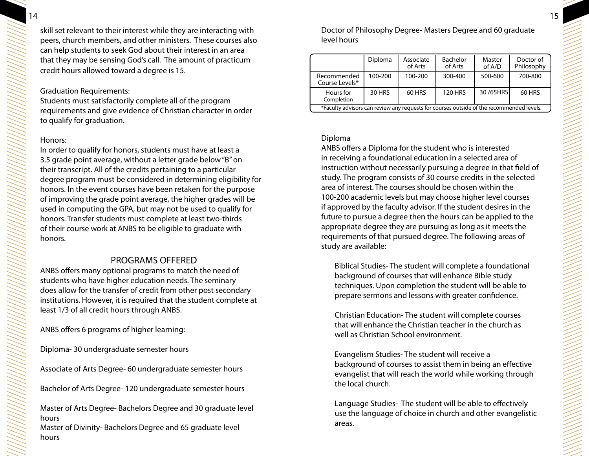skill set relevant to their interest while they are interacting with peers, church members, and other ministers. These courses also can help students to seek God about their interest in an area that they may be sensing God's call. The amount of practicum credit hours allowed toward a degree is 15.

#### Graduation Requirements:

Students must satisfactorily complete all of the program requirements and give evidence of Christian character in order to qualify for graduation.

#### Honors:

In order to qualify for honors, students must have at least a 3.5 grade point average, without a letter grade below "B" on their transcript. All of the credits pertaining to a particular degree program must be considered in determining eligibility for honors. In the event courses have been retaken for the purpose of improving the grade point average, the higher grades will be used in computing the GPA, but may not be used to qualify for honors. Transfer students must complete at least two-thirds of their course work at ANBS to be eligible to graduate with honors.

## PROGRAMS OFFERED

ANBS offers many optional programs to match the need of students who have higher education needs. The seminary does allow for the transfer of credit from other post secondary institutions. However, it is required that the student complete at least 1/3 of all credit hours through ANBS.

ANBS offers 6 programs of higher learning:

Diploma- 30 undergraduate semester hours

Associate of Arts Degree- 60 undergraduate semester hours

Bachelor of Arts Degree- 120 undergraduate semester hours

Master of Arts Degree- Bachelors Degree and 30 graduate level hours

Master of Divinity- Bachelors Degree and 65 graduate level hours

Doctor of Philosophy Degree- Masters Degree and 60 graduate level hours

|                                                                                          | Diploma | Associate<br>of Arts | Bachelor<br>of Arts | Master<br>of A/D | Doctor of<br>Philosophy |  |  |
|------------------------------------------------------------------------------------------|---------|----------------------|---------------------|------------------|-------------------------|--|--|
| Recommended<br>Course Levels*                                                            | 100-200 | 100-200              | 300-400             | 500-600          | 700-800                 |  |  |
| Hours for<br>Completion                                                                  | 30 HRS  | 60 HRS               | <b>120 HRS</b>      | 30/65HRS         | 60 HRS                  |  |  |
| *Faculty advisors can review any requests for courses outside of the recommended levels. |         |                      |                     |                  |                         |  |  |

#### Diploma

ANBS offers a Diploma for the student who is interested in receiving a foundational education in a selected area of instruction without necessarily pursuing a degree in that field of study. The program consists of 30 course credits in the selected area of interest. The courses should be chosen within the 100-200 academic levels but may choose higher level courses if approved by the faculty advisor. If the student desires in the future to pursue a degree then the hours can be applied to the appropriate degree they are pursuing as long as it meets the requirements of that pursued degree. The following areas of study are available:

 Biblical Studies- The student will complete a foundational background of courses that will enhance Bible study techniques. Upon completion the student will be able to prepare sermons and lessons with greater confidence.

 Christian Education- The student will complete courses that will enhance the Christian teacher in the church as well as Christian School environment.

Evangelism Studies- The student will receive a background of courses to assist them in being an effective evangelist that will reach the world while working through the local church.

 Language Studies- The student will be able to effectively use the language of choice in church and other evangelistic areas.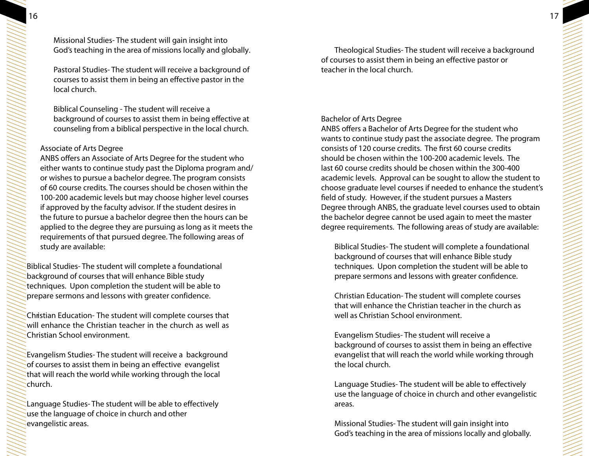Pastoral Studies- The student will receive a background of courses to assist them in being an effective pastor in the local church.

Biblical Counseling - The student will receive a background of courses to assist them in being effective at counseling from a biblical perspective in the local church.

## Associate of Arts Degree

ANBS offers an Associate of Arts Degree for the student who either wants to continue study past the Diploma program and/ or wishes to pursue a bachelor degree. The program consists of 60 course credits. The courses should be chosen within the 100-200 academic levels but may choose higher level courses if approved by the faculty advisor. If the student desires in the future to pursue a bachelor degree then the hours can be applied to the degree they are pursuing as long as it meets the requirements of that pursued degree. The following areas of study are available:

Biblical Studies- The student will complete a foundational background of courses that will enhance Bible study techniques. Upon completion the student will be able to prepare sermons and lessons with greater confidence.

Christian Education- The student will complete courses that will enhance the Christian teacher in the church as well as Christian School environment.

Evangelism Studies- The student will receive a background of courses to assist them in being an effective evangelist that will reach the world while working through the local church.

Language Studies- The student will be able to effectively use the language of choice in church and other evangelistic areas.

Theological Studies- The student will receive a background of courses to assist them in being an effective pastor or teacher in the local church.

## Bachelor of Arts Degree

ANBS offers a Bachelor of Arts Degree for the student who wants to continue study past the associate degree. The program consists of 120 course credits. The first 60 course credits should be chosen within the 100-200 academic levels. The last 60 course credits should be chosen within the 300-400 academic levels. Approval can be sought to allow the student to choose graduate level courses if needed to enhance the student's field of study. However, if the student pursues a Masters Degree through ANBS, the graduate level courses used to obtain the bachelor degree cannot be used again to meet the master degree requirements. The following areas of study are available:

Biblical Studies- The student will complete a foundational background of courses that will enhance Bible study techniques. Upon completion the student will be able to prepare sermons and lessons with greater confidence.

 Christian Education- The student will complete courses that will enhance the Christian teacher in the church as well as Christian School environment.

Evangelism Studies- The student will receive a background of courses to assist them in being an effective evangelist that will reach the world while working through the local church.

Language Studies- The student will be able to effectively use the language of choice in church and other evangelistic areas.

Missional Studies- The student will gain insight into God's teaching in the area of missions locally and globally.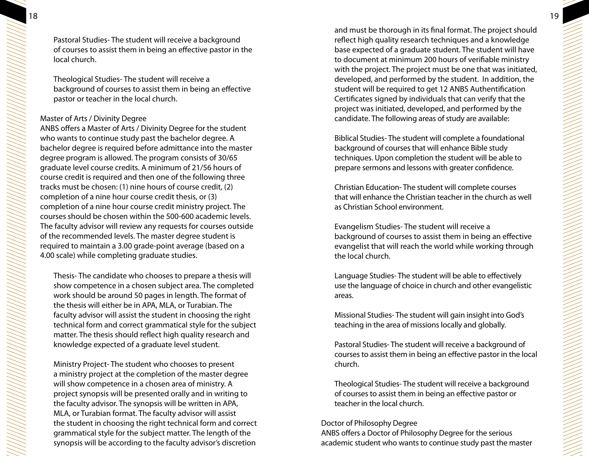Pastoral Studies- The student will receive a background of courses to assist them in being an effective pastor in the local church.

Theological Studies- The student will receive a background of courses to assist them in being an effective pastor or teacher in the local church.

#### Master of Arts / Divinity Degree

ANBS offers a Master of Arts / Divinity Degree for the student who wants to continue study past the bachelor degree. A bachelor degree is required before admittance into the master degree program is allowed. The program consists of 30/65 graduate level course credits. A minimum of 21/56 hours of course credit is required and then one of the following three tracks must be chosen: (1) nine hours of course credit, (2) completion of a nine hour course credit thesis, or (3) completion of a nine hour course credit ministry project. The courses should be chosen within the 500-600 academic levels. The faculty advisor will review any requests for courses outside of the recommended levels. The master degree student is required to maintain a 3.00 grade-point average (based on a 4.00 scale) while completing graduate studies.

Thesis- The candidate who chooses to prepare a thesis will show competence in a chosen subject area. The completed work should be around 50 pages in length. The format of the thesis will either be in APA, MLA, or Turabian. The faculty advisor will assist the student in choosing the right technical form and correct grammatical style for the subject matter. The thesis should reflect high quality research and knowledge expected of a graduate level student.

 Ministry Project- The student who chooses to present a ministry project at the completion of the master degree will show competence in a chosen area of ministry. A project synopsis will be presented orally and in writing to the faculty advisor. The synopsis will be written in APA, MLA, or Turabian format. The faculty advisor will assist the student in choosing the right technical form and correct grammatical style for the subject matter. The length of the synopsis will be according to the faculty advisor's discretion

and must be thorough in its final format. The project should reflect high quality research techniques and a knowledge base expected of a graduate student. The student will have to document at minimum 200 hours of verifiable ministry with the project. The project must be one that was initiated, developed, and performed by the student. In addition, the student will be required to get 12 ANBS Authentification Certificates signed by individuals that can verify that the project was initiated, developed, and performed by the candidate. The following areas of study are available:

 Biblical Studies- The student will complete a foundational background of courses that will enhance Bible study techniques. Upon completion the student will be able to prepare sermons and lessons with greater confidence.

 Christian Education- The student will complete courses that will enhance the Christian teacher in the church as well as Christian School environment.

Evangelism Studies- The student will receive a background of courses to assist them in being an effective evangelist that will reach the world while working through the local church.

Language Studies- The student will be able to effectively use the language of choice in church and other evangelistic areas.

Missional Studies- The student will gain insight into God's teaching in the area of missions locally and globally.

 Pastoral Studies- The student will receive a background of courses to assist them in being an effective pastor in the local church.

 Theological Studies- The student will receive a background of courses to assist them in being an effective pastor or teacher in the local church.

#### Doctor of Philosophy Degree

ANBS offers a Doctor of Philosophy Degree for the serious academic student who wants to continue study past the master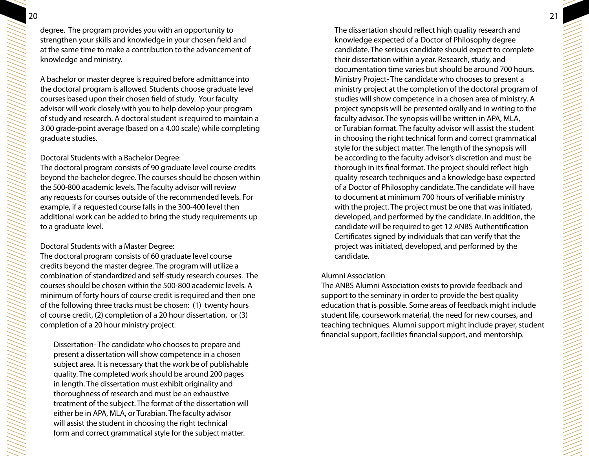20 21 degree. The program provides you with an opportunity to strengthen your skills and knowledge in your chosen field and at the same time to make a contribution to the advancement of knowledge and ministry.

A bachelor or master degree is required before admittance into the doctoral program is allowed. Students choose graduate level courses based upon their chosen field of study. Your faculty advisor will work closely with you to help develop your program of study and research. A doctoral student is required to maintain a 3.00 grade-point average (based on a 4.00 scale) while completing graduate studies.

#### Doctoral Students with a Bachelor Degree:

The doctoral program consists of 90 graduate level course credits beyond the bachelor degree. The courses should be chosen within the 500-800 academic levels. The faculty advisor will review any requests for courses outside of the recommended levels. For example, if a requested course falls in the 300-400 level then additional work can be added to bring the study requirements up to a graduate level.

#### Doctoral Students with a Master Degree:

The doctoral program consists of 60 graduate level course credits beyond the master degree. The program will utilize a combination of standardized and self-study research courses. The courses should be chosen within the 500-800 academic levels. A minimum of forty hours of course credit is required and then one of the following three tracks must be chosen: (1) twenty hours of course credit, (2) completion of a 20 hour dissertation, or (3) completion of a 20 hour ministry project.

Dissertation- The candidate who chooses to prepare and present a dissertation will show competence in a chosen subject area. It is necessary that the work be of publishable quality. The completed work should be around 200 pages in length. The dissertation must exhibit originality and thoroughness of research and must be an exhaustive treatment of the subject. The format of the dissertation will either be in APA, MLA, or Turabian. The faculty advisor will assist the student in choosing the right technical form and correct grammatical style for the subject matter.

The dissertation should reflect high quality research and knowledge expected of a Doctor of Philosophy degree candidate. The serious candidate should expect to complete their dissertation within a year. Research, study, and documentation time varies but should be around 700 hours. Ministry Project- The candidate who chooses to present a ministry project at the completion of the doctoral program of studies will show competence in a chosen area of ministry. A project synopsis will be presented orally and in writing to the faculty advisor. The synopsis will be written in APA, MLA, or Turabian format. The faculty advisor will assist the student in choosing the right technical form and correct grammatical style for the subject matter. The length of the synopsis will be according to the faculty advisor's discretion and must be thorough in its final format. The project should reflect high quality research techniques and a knowledge base expected of a Doctor of Philosophy candidate. The candidate will have to document at minimum 700 hours of verifiable ministry with the project. The project must be one that was initiated, developed, and performed by the candidate. In addition, the candidate will be required to get 12 ANBS Authentification Certificates signed by individuals that can verify that the project was initiated, developed, and performed by the candidate.

#### Alumni Association

The ANBS Alumni Association exists to provide feedback and support to the seminary in order to provide the best quality education that is possible. Some areas of feedback might include student life, coursework material, the need for new courses, and teaching techniques. Alumni support might include prayer, student financial support, facilities financial support, and mentorship.